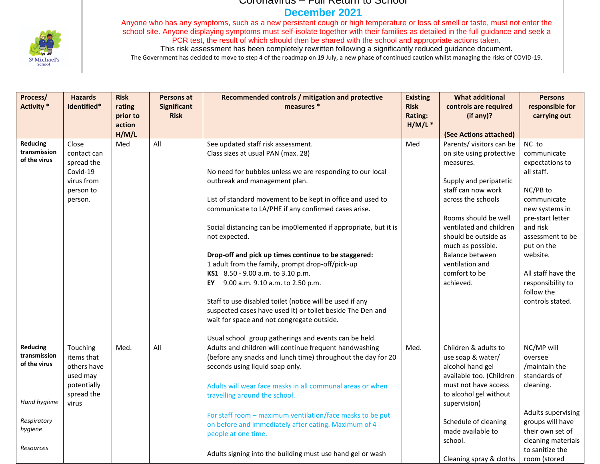## Coronavirus – Full Return to School **December 2021**



Anyone who has any symptoms, such as a new persistent cough or high temperature or loss of smell or taste, must not enter the school site. Anyone displaying symptoms must self-isolate together with their families as detailed in the full guidance and seek a PCR test, the result of which should then be shared with the school and appropriate actions taken.

This risk assessment has been completely rewritten following a significantly reduced guidance document. The Government has decided to move to step 4 of the roadmap on 19 July, a new phase of continued caution whilst managing the risks of COVID-19.

| <b>Activity</b> *<br>Identified*<br>measures *<br><b>Risk</b><br>rating<br><b>Significant</b><br>controls are required                      |                                      |
|---------------------------------------------------------------------------------------------------------------------------------------------|--------------------------------------|
|                                                                                                                                             | responsible for                      |
| prior to<br><b>Risk</b><br>Rating:<br>(if any)?                                                                                             | carrying out                         |
| $H/M/L$ *<br>action                                                                                                                         |                                      |
| H/M/L<br>(See Actions attached)                                                                                                             |                                      |
| <b>Reducing</b><br>All<br>Parents/ visitors can be<br>NC to<br>Close<br>Med<br>See updated staff risk assessment.<br>Med                    |                                      |
| transmission<br>contact can<br>Class sizes at usual PAN (max. 28)<br>on site using protective<br>communicate<br>of the virus                |                                      |
| spread the<br>expectations to<br>measures.                                                                                                  |                                      |
| Covid-19<br>No need for bubbles unless we are responding to our local<br>all staff.                                                         |                                      |
| virus from<br>outbreak and management plan.<br>Supply and peripatetic                                                                       |                                      |
| NC/PB to<br>staff can now work<br>person to                                                                                                 |                                      |
| List of standard movement to be kept in office and used to<br>across the schools<br>communicate<br>person.                                  |                                      |
| communicate to LA/PHE if any confirmed cases arise.<br>new systems in                                                                       |                                      |
| Rooms should be well<br>pre-start letter<br>ventilated and children<br>and risk                                                             |                                      |
| Social distancing can be imp0lemented if appropriate, but it is<br>not expected.<br>should be outside as                                    | assessment to be                     |
| much as possible.<br>put on the                                                                                                             |                                      |
| Drop-off and pick up times continue to be staggered:<br>Balance between<br>website.                                                         |                                      |
| 1 adult from the family, prompt drop-off/pick-up<br>ventilation and                                                                         |                                      |
| KS1 8.50 - 9.00 a.m. to 3.10 p.m.<br>comfort to be                                                                                          | All staff have the                   |
| EY 9.00 a.m. 9.10 a.m. to 2.50 p.m.<br>achieved.                                                                                            | responsibility to                    |
| follow the                                                                                                                                  |                                      |
| Staff to use disabled toilet (notice will be used if any<br>controls stated.                                                                |                                      |
| suspected cases have used it) or toilet beside The Den and                                                                                  |                                      |
| wait for space and not congregate outside.                                                                                                  |                                      |
|                                                                                                                                             |                                      |
| Usual school group gatherings and events can be held.                                                                                       |                                      |
| Reducing<br>Adults and children will continue frequent handwashing<br>Touching<br>All<br>Med.<br>Children & adults to<br>NC/MP will<br>Med. |                                      |
| transmission<br>items that<br>(before any snacks and lunch time) throughout the day for 20<br>use soap & water/<br>oversee                  |                                      |
| of the virus<br>seconds using liquid soap only.<br>others have<br>alcohol hand gel<br>/maintain the                                         |                                      |
| available too. (Children<br>used may<br>standards of                                                                                        |                                      |
| potentially<br>must not have access<br>cleaning.<br>Adults will wear face masks in all communal areas or when                               |                                      |
| spread the<br>to alcohol gel without<br>travelling around the school.<br>Hand hygiene                                                       |                                      |
| virus<br>supervision)                                                                                                                       |                                      |
| For staff room - maximum ventilation/face masks to be put<br>Respiratory                                                                    | Adults supervising                   |
| Schedule of cleaning<br>on before and immediately after eating. Maximum of 4<br>hygiene<br>made available to                                | groups will have<br>their own set of |
| people at one time.<br>school.                                                                                                              | cleaning materials                   |
| Resources<br>to sanitize the                                                                                                                |                                      |
| Adults signing into the building must use hand gel or wash<br>Cleaning spray & cloths<br>room (stored                                       |                                      |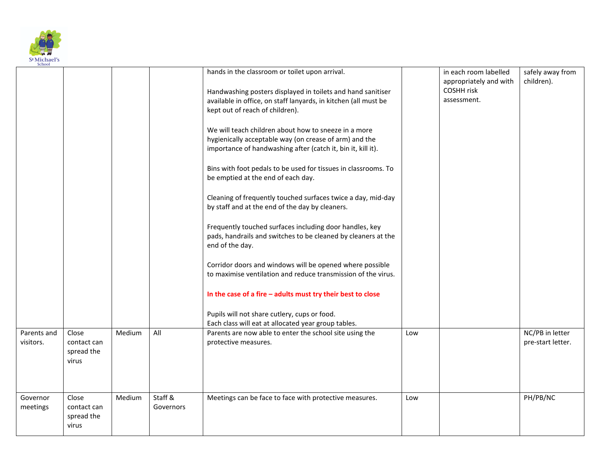

| School                   |                                             |        |                      |                                                                                                                                                                                |     |                                                 |                                      |
|--------------------------|---------------------------------------------|--------|----------------------|--------------------------------------------------------------------------------------------------------------------------------------------------------------------------------|-----|-------------------------------------------------|--------------------------------------|
|                          |                                             |        |                      | hands in the classroom or toilet upon arrival.                                                                                                                                 |     | in each room labelled<br>appropriately and with | safely away from<br>children).       |
|                          |                                             |        |                      | Handwashing posters displayed in toilets and hand sanitiser                                                                                                                    |     | <b>COSHH risk</b>                               |                                      |
|                          |                                             |        |                      | available in office, on staff lanyards, in kitchen (all must be                                                                                                                |     | assessment.                                     |                                      |
|                          |                                             |        |                      | kept out of reach of children).                                                                                                                                                |     |                                                 |                                      |
|                          |                                             |        |                      | We will teach children about how to sneeze in a more<br>hygienically acceptable way (on crease of arm) and the<br>importance of handwashing after (catch it, bin it, kill it). |     |                                                 |                                      |
|                          |                                             |        |                      | Bins with foot pedals to be used for tissues in classrooms. To<br>be emptied at the end of each day.                                                                           |     |                                                 |                                      |
|                          |                                             |        |                      | Cleaning of frequently touched surfaces twice a day, mid-day<br>by staff and at the end of the day by cleaners.                                                                |     |                                                 |                                      |
|                          |                                             |        |                      | Frequently touched surfaces including door handles, key<br>pads, handrails and switches to be cleaned by cleaners at the<br>end of the day.                                    |     |                                                 |                                      |
|                          |                                             |        |                      | Corridor doors and windows will be opened where possible<br>to maximise ventilation and reduce transmission of the virus.                                                      |     |                                                 |                                      |
|                          |                                             |        |                      | In the case of a fire $-$ adults must try their best to close                                                                                                                  |     |                                                 |                                      |
|                          |                                             |        |                      | Pupils will not share cutlery, cups or food.<br>Each class will eat at allocated year group tables.                                                                            |     |                                                 |                                      |
| Parents and<br>visitors. | Close<br>contact can<br>spread the<br>virus | Medium | All                  | Parents are now able to enter the school site using the<br>protective measures.                                                                                                | Low |                                                 | NC/PB in letter<br>pre-start letter. |
|                          |                                             |        |                      |                                                                                                                                                                                |     |                                                 |                                      |
| Governor<br>meetings     | Close<br>contact can<br>spread the<br>virus | Medium | Staff &<br>Governors | Meetings can be face to face with protective measures.                                                                                                                         | Low |                                                 | PH/PB/NC                             |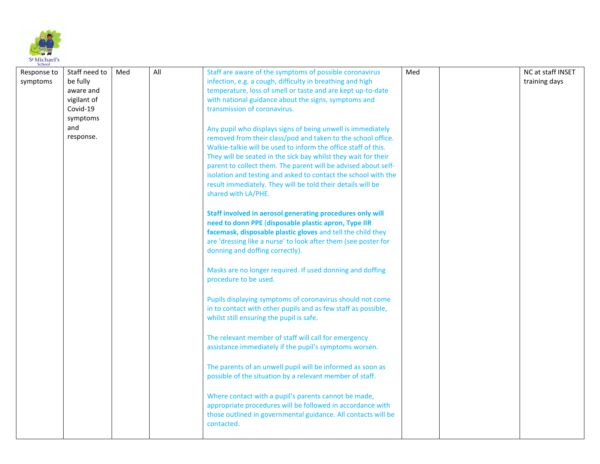

| эспоот<br>Response to | Staff need to | Med | All | Staff are aware of the symptoms of possible coronavirus        | Med | NC at staff INSET |
|-----------------------|---------------|-----|-----|----------------------------------------------------------------|-----|-------------------|
| symptoms              | be fully      |     |     | infection, e.g. a cough, difficulty in breathing and high      |     | training days     |
|                       | aware and     |     |     | temperature, loss of smell or taste and are kept up-to-date    |     |                   |
|                       | vigilant of   |     |     | with national guidance about the signs, symptoms and           |     |                   |
|                       | Covid-19      |     |     | transmission of coronavirus.                                   |     |                   |
|                       |               |     |     |                                                                |     |                   |
|                       | symptoms      |     |     |                                                                |     |                   |
|                       | and           |     |     | Any pupil who displays signs of being unwell is immediately    |     |                   |
|                       | response.     |     |     | removed from their class/pod and taken to the school office.   |     |                   |
|                       |               |     |     | Walkie-talkie will be used to inform the office staff of this. |     |                   |
|                       |               |     |     | They will be seated in the sick bay whilst they wait for their |     |                   |
|                       |               |     |     | parent to collect them. The parent will be advised about self- |     |                   |
|                       |               |     |     | isolation and testing and asked to contact the school with the |     |                   |
|                       |               |     |     | result immediately. They will be told their details will be    |     |                   |
|                       |               |     |     | shared with LA/PHE.                                            |     |                   |
|                       |               |     |     | Staff involved in aerosol generating procedures only will      |     |                   |
|                       |               |     |     | need to donn PPE (disposable plastic apron, Type IIR           |     |                   |
|                       |               |     |     | facemask, disposable plastic gloves and tell the child they    |     |                   |
|                       |               |     |     | are 'dressing like a nurse' to look after them (see poster for |     |                   |
|                       |               |     |     | donning and doffing correctly).                                |     |                   |
|                       |               |     |     |                                                                |     |                   |
|                       |               |     |     | Masks are no longer required. If used donning and doffing      |     |                   |
|                       |               |     |     | procedure to be used.                                          |     |                   |
|                       |               |     |     |                                                                |     |                   |
|                       |               |     |     | Pupils displaying symptoms of coronavirus should not come      |     |                   |
|                       |               |     |     | in to contact with other pupils and as few staff as possible,  |     |                   |
|                       |               |     |     | whilst still ensuring the pupil is safe.                       |     |                   |
|                       |               |     |     | The relevant member of staff will call for emergency           |     |                   |
|                       |               |     |     | assistance immediately if the pupil's symptoms worsen.         |     |                   |
|                       |               |     |     |                                                                |     |                   |
|                       |               |     |     | The parents of an unwell pupil will be informed as soon as     |     |                   |
|                       |               |     |     | possible of the situation by a relevant member of staff.       |     |                   |
|                       |               |     |     |                                                                |     |                   |
|                       |               |     |     | Where contact with a pupil's parents cannot be made,           |     |                   |
|                       |               |     |     | appropriate procedures will be followed in accordance with     |     |                   |
|                       |               |     |     | those outlined in governmental guidance. All contacts will be  |     |                   |
|                       |               |     |     | contacted.                                                     |     |                   |
|                       |               |     |     |                                                                |     |                   |
|                       |               |     |     |                                                                |     |                   |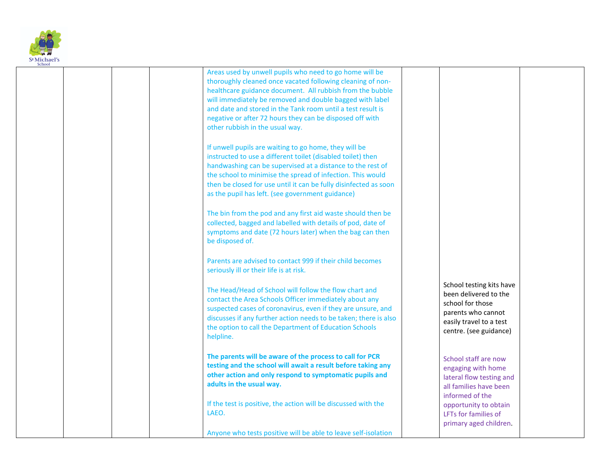

| School |                                                                                                                                                                                                                                                                                                                                                                                                              |                                                                                                                                                  |  |
|--------|--------------------------------------------------------------------------------------------------------------------------------------------------------------------------------------------------------------------------------------------------------------------------------------------------------------------------------------------------------------------------------------------------------------|--------------------------------------------------------------------------------------------------------------------------------------------------|--|
|        | Areas used by unwell pupils who need to go home will be<br>thoroughly cleaned once vacated following cleaning of non-<br>healthcare guidance document. All rubbish from the bubble<br>will immediately be removed and double bagged with label<br>and date and stored in the Tank room until a test result is<br>negative or after 72 hours they can be disposed off with<br>other rubbish in the usual way. |                                                                                                                                                  |  |
|        | If unwell pupils are waiting to go home, they will be<br>instructed to use a different toilet (disabled toilet) then<br>handwashing can be supervised at a distance to the rest of<br>the school to minimise the spread of infection. This would<br>then be closed for use until it can be fully disinfected as soon<br>as the pupil has left. (see government guidance)                                     |                                                                                                                                                  |  |
|        | The bin from the pod and any first aid waste should then be<br>collected, bagged and labelled with details of pod, date of<br>symptoms and date (72 hours later) when the bag can then<br>be disposed of.                                                                                                                                                                                                    |                                                                                                                                                  |  |
|        | Parents are advised to contact 999 if their child becomes<br>seriously ill or their life is at risk.                                                                                                                                                                                                                                                                                                         |                                                                                                                                                  |  |
|        | The Head/Head of School will follow the flow chart and<br>contact the Area Schools Officer immediately about any<br>suspected cases of coronavirus, even if they are unsure, and<br>discusses if any further action needs to be taken; there is also<br>the option to call the Department of Education Schools<br>helpline.                                                                                  | School testing kits have<br>been delivered to the<br>school for those<br>parents who cannot<br>easily travel to a test<br>centre. (see guidance) |  |
|        | The parents will be aware of the process to call for PCR<br>testing and the school will await a result before taking any<br>other action and only respond to symptomatic pupils and<br>adults in the usual way.                                                                                                                                                                                              | School staff are now<br>engaging with home<br>lateral flow testing and<br>all families have been<br>informed of the                              |  |
|        | If the test is positive, the action will be discussed with the<br>LAEO.<br>Anyone who tests positive will be able to leave self-isolation                                                                                                                                                                                                                                                                    | opportunity to obtain<br>LFTs for families of<br>primary aged children.                                                                          |  |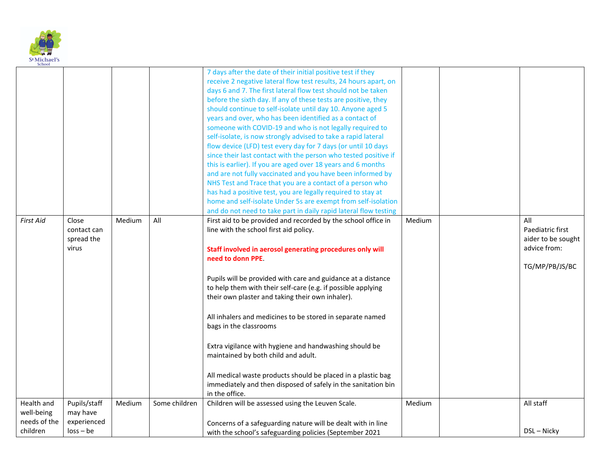

|                                                      |                                                        |        |               | 7 days after the date of their initial positive test if they<br>receive 2 negative lateral flow test results, 24 hours apart, on<br>days 6 and 7. The first lateral flow test should not be taken<br>before the sixth day. If any of these tests are positive, they<br>should continue to self-isolate until day 10. Anyone aged 5<br>years and over, who has been identified as a contact of<br>someone with COVID-19 and who is not legally required to<br>self-isolate, is now strongly advised to take a rapid lateral<br>flow device (LFD) test every day for 7 days (or until 10 days<br>since their last contact with the person who tested positive if<br>this is earlier). If you are aged over 18 years and 6 months<br>and are not fully vaccinated and you have been informed by<br>NHS Test and Trace that you are a contact of a person who<br>has had a positive test, you are legally required to stay at<br>home and self-isolate Under 5s are exempt from self-isolation<br>and do not need to take part in daily rapid lateral flow testing |               |                                                                                 |
|------------------------------------------------------|--------------------------------------------------------|--------|---------------|----------------------------------------------------------------------------------------------------------------------------------------------------------------------------------------------------------------------------------------------------------------------------------------------------------------------------------------------------------------------------------------------------------------------------------------------------------------------------------------------------------------------------------------------------------------------------------------------------------------------------------------------------------------------------------------------------------------------------------------------------------------------------------------------------------------------------------------------------------------------------------------------------------------------------------------------------------------------------------------------------------------------------------------------------------------|---------------|---------------------------------------------------------------------------------|
| First Aid                                            | Close<br>contact can<br>spread the<br>virus            | Medium | All           | First aid to be provided and recorded by the school office in<br>line with the school first aid policy.<br>Staff involved in aerosol generating procedures only will<br>need to donn PPE.<br>Pupils will be provided with care and guidance at a distance<br>to help them with their self-care (e.g. if possible applying<br>their own plaster and taking their own inhaler).<br>All inhalers and medicines to be stored in separate named<br>bags in the classrooms<br>Extra vigilance with hygiene and handwashing should be<br>maintained by both child and adult.<br>All medical waste products should be placed in a plastic bag<br>immediately and then disposed of safely in the sanitation bin<br>in the office.                                                                                                                                                                                                                                                                                                                                       | Medium        | All<br>Paediatric first<br>aider to be sought<br>advice from:<br>TG/MP/PB/JS/BC |
| Health and<br>well-being<br>needs of the<br>children | Pupils/staff<br>may have<br>experienced<br>$loss - be$ | Medium | Some children | Children will be assessed using the Leuven Scale.<br>Concerns of a safeguarding nature will be dealt with in line<br>with the school's safeguarding policies (September 2021                                                                                                                                                                                                                                                                                                                                                                                                                                                                                                                                                                                                                                                                                                                                                                                                                                                                                   | <b>Medium</b> | All staff<br>DSL-Nicky                                                          |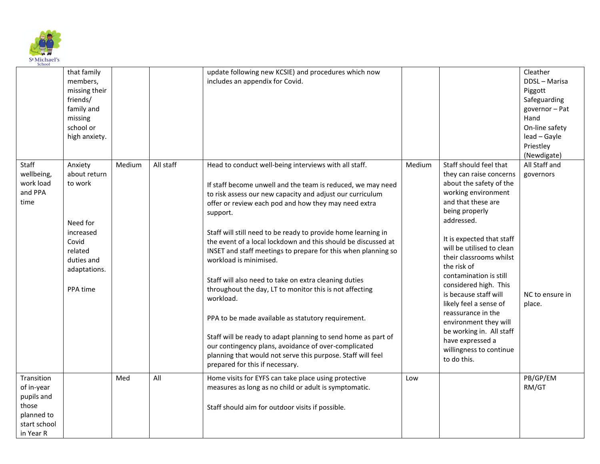

|                                                                                            | that family<br>members,<br>missing their<br>friends/<br>family and<br>missing<br>school or<br>high anxiety.               |        |           | update following new KCSIE) and procedures which now<br>includes an appendix for Covid.                                                                                                                                                                                                                                                                                                                                                                                                                                                                                                                                                                                                                                                                                                                                                                                                              |        |                                                                                                                                                                                                                                                                                                                                                                                                                                                                                                              | Cleather<br>DDSL-Marisa<br>Piggott<br>Safeguarding<br>governor-Pat<br>Hand<br>On-line safety<br>lead - Gayle<br>Priestley<br>(Newdigate) |
|--------------------------------------------------------------------------------------------|---------------------------------------------------------------------------------------------------------------------------|--------|-----------|------------------------------------------------------------------------------------------------------------------------------------------------------------------------------------------------------------------------------------------------------------------------------------------------------------------------------------------------------------------------------------------------------------------------------------------------------------------------------------------------------------------------------------------------------------------------------------------------------------------------------------------------------------------------------------------------------------------------------------------------------------------------------------------------------------------------------------------------------------------------------------------------------|--------|--------------------------------------------------------------------------------------------------------------------------------------------------------------------------------------------------------------------------------------------------------------------------------------------------------------------------------------------------------------------------------------------------------------------------------------------------------------------------------------------------------------|------------------------------------------------------------------------------------------------------------------------------------------|
| Staff<br>wellbeing,<br>work load<br>and PPA<br>time                                        | Anxiety<br>about return<br>to work<br>Need for<br>increased<br>Covid<br>related<br>duties and<br>adaptations.<br>PPA time | Medium | All staff | Head to conduct well-being interviews with all staff.<br>If staff become unwell and the team is reduced, we may need<br>to risk assess our new capacity and adjust our curriculum<br>offer or review each pod and how they may need extra<br>support.<br>Staff will still need to be ready to provide home learning in<br>the event of a local lockdown and this should be discussed at<br>INSET and staff meetings to prepare for this when planning so<br>workload is minimised.<br>Staff will also need to take on extra cleaning duties<br>throughout the day, LT to monitor this is not affecting<br>workload.<br>PPA to be made available as statutory requirement.<br>Staff will be ready to adapt planning to send home as part of<br>our contingency plans, avoidance of over-complicated<br>planning that would not serve this purpose. Staff will feel<br>prepared for this if necessary. | Medium | Staff should feel that<br>they can raise concerns<br>about the safety of the<br>working environment<br>and that these are<br>being properly<br>addressed.<br>It is expected that staff<br>will be utilised to clean<br>their classrooms whilst<br>the risk of<br>contamination is still<br>considered high. This<br>is because staff will<br>likely feel a sense of<br>reassurance in the<br>environment they will<br>be working in. All staff<br>have expressed a<br>willingness to continue<br>to do this. | All Staff and<br>governors<br>NC to ensure in<br>place.                                                                                  |
| Transition<br>of in-year<br>pupils and<br>those<br>planned to<br>start school<br>in Year R |                                                                                                                           | Med    | All       | Home visits for EYFS can take place using protective<br>measures as long as no child or adult is symptomatic.<br>Staff should aim for outdoor visits if possible.                                                                                                                                                                                                                                                                                                                                                                                                                                                                                                                                                                                                                                                                                                                                    | Low    |                                                                                                                                                                                                                                                                                                                                                                                                                                                                                                              | PB/GP/EM<br>RM/GT                                                                                                                        |